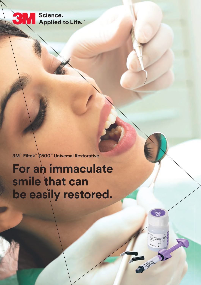Science. Applied to Life.<sup>™</sup>

**3M** 

**3M**™ **Filtek**™ **Z500**™ **Universal Restorative**

**For an immaculate smile that can be easily restored.**

JER 1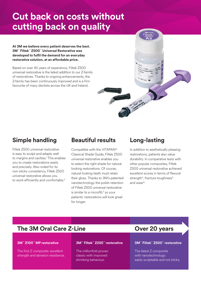## **Cut back on costs without cutting back on quality**

#### **At 3M we believe every patient deserves the best. 3M**™ **Filtek**™ **Z500**™ **Universal Restorative was developed to fulfil the demand for an everyday restorative solution, at an affordable price.**

Based on over 40 years of experience, Filtek Z500 universal restorative is the latest addition to our Z-family of restoratives. Thanks to ongoing enhancements, the Z-family has been continuously improved and is a firm favourite of many dentists across the UK and Ireland.

## **Simple handling**

Filtek Z500 universal restorative is easy to sculpt and adapts well to margins and cavities.1 This enables you to create restorations easily and precisely. Also noted for its non-sticky consistency, Filtek Z500 universal restorative allows you to work efficiently and comfortably.2

## **Beautiful results**

Compatible with the VITAPAN® Classical Shade Guide, Filtek Z500 universal restorative enables you to select the right shade for natural looking restorations. Of course, natural looking teeth must retain their gloss. Thanks to 3M's patented nanotechnology the polish retention of Filtek Z500 universal restorative is similar to a microfill,<sup>3</sup> so your patients' restorations will look great for longer.

## **Long-lasting**

Tunisipal Registration

In addition to aesthetically pleasing restorations, patients also value durability. In comparative tests with other popular composites, Filtek Z500 universal restorative achieved excellent scores in terms of flexural strength<sup>4</sup>, fracture toughness<sup>5</sup> and wear6.

## **The 3M Oral Care Z-Line <b>Cance 20 YEAR** Over 20 years

#### **3M**™ **Z100**™ **MP restorative**

The first Z composite: excellent strength and abrasion resistance.

#### **3M**™ **Filtek**™ **Z250**™ **restorative**

The millionfold proven classic with improved shrinking behaviour.

#### **3M**™ **Filtek**™ **Z500**™ **restorative**

The latest Z composite with nanotechnology: easily sculptable and not sticky.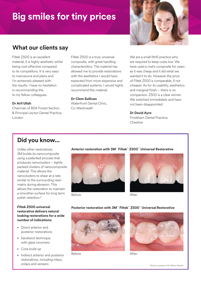# **Big smiles for tiny prices**



## **What our clients say**

Filtek Z500 is an excellent material, it is highly aesthetic whilst being cost effective compared to its competitors. It is very easy to manoeuvre and place and I'm extremely pleased with the results. I have no hesitation in recommending this to my fellow colleagues.

#### **Dr Arif Ullah**

Chairman of BDA Forest Section & Principal Leyton Dental Practice, London

Filtek Z500 is a truly universal composite, with great handling characteristics. The material has allowed me to provide restorations with the aesthetics I would have expected from more expensive and complicated systems. I would highly recommend this material.

#### **Dr Clem Sullivan**

Waterfront Dental Clinic, Co Westmeath

We are a small NHS practice who are required to keep costs low. We have used a rival's composite for years as it was cheap and it did what we wanted it to do. However the price of Filtek Z500 is comparable, if not cheaper. As for its usability, aesthetics and marginal finish – there is no comparison. Z500 is a clear winner. We switched immediately and have not been disappointed.

#### **Dr David Ayre**

Frodsham Dental Practice, Cheshire

### **Did you know...**

Unlike other restoratives, 3M builds its nanocomposite using a patented process that produces nanoclusters – tightly packed clusters of nanocomposite material. This allows the nanoclusters to shear at a rate similar to the surrounding resin matrix during abrasion. This allows the restoration to maintain a smoother surface for long term polish retention.8

#### **Filtek Z500 universal restorative delivers natural looking restorations for a wide number of indications:**

- Direct anterior and posterior restorations
- Sandwich technique with glass ionomers
- ► Core build-up
- Indirect anterior and posterior restorations, including inlays, onlays and veneers

#### **Anterior restoration with 3M**™ **Filtek**™ **Z500**™ **Universal Restorative**







After

#### **Posterior restoration with 3M**™ **Filtek**™ **Z500**™ **Universal Restorative**







After

Photo's courtesy of Dr. Reich, Munich